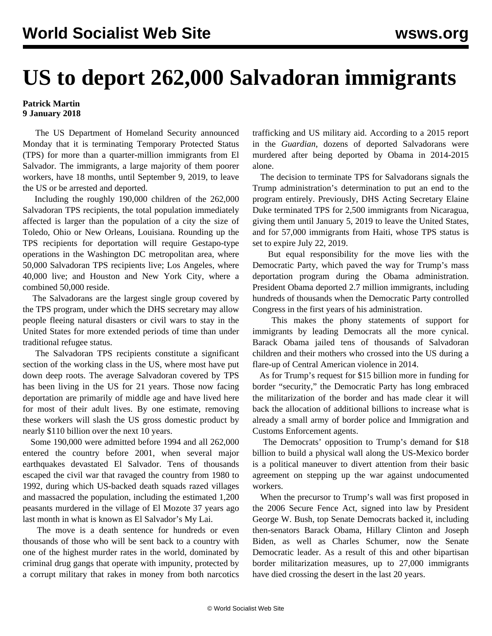## **US to deport 262,000 Salvadoran immigrants**

## **Patrick Martin 9 January 2018**

 The US Department of Homeland Security announced Monday that it is terminating Temporary Protected Status (TPS) for more than a quarter-million immigrants from El Salvador. The immigrants, a large majority of them poorer workers, have 18 months, until September 9, 2019, to leave the US or be arrested and deported.

 Including the roughly 190,000 children of the 262,000 Salvadoran TPS recipients, the total population immediately affected is larger than the population of a city the size of Toledo, Ohio or New Orleans, Louisiana. Rounding up the TPS recipients for deportation will require Gestapo-type operations in the Washington DC metropolitan area, where 50,000 Salvadoran TPS recipients live; Los Angeles, where 40,000 live; and Houston and New York City, where a combined 50,000 reside.

 The Salvadorans are the largest single group covered by the TPS program, under which the DHS secretary may allow people fleeing natural disasters or civil wars to stay in the United States for more extended periods of time than under traditional refugee status.

 The Salvadoran TPS recipients constitute a significant section of the working class in the US, where most have put down deep roots. The average Salvadoran covered by TPS has been living in the US for 21 years. Those now facing deportation are primarily of middle age and have lived here for most of their adult lives. By one estimate, removing these workers will slash the US gross domestic product by nearly \$110 billion over the next 10 years.

 Some 190,000 were admitted before 1994 and all 262,000 entered the country before 2001, when several major earthquakes devastated El Salvador. Tens of thousands escaped the civil war that ravaged the country from 1980 to 1992, during which US-backed death squads razed villages and massacred the population, including the estimated 1,200 peasants murdered in the village of El Mozote 37 years ago last month in what is known as El Salvador's My Lai.

 The move is a death sentence for hundreds or even thousands of those who will be sent back to a country with one of the highest murder rates in the world, dominated by criminal drug gangs that operate with impunity, protected by a corrupt military that rakes in money from both narcotics trafficking and US military aid. According to a 2015 report in the *Guardian*, dozens of deported Salvadorans were murdered after being deported by Obama in 2014-2015 alone.

 The decision to terminate TPS for Salvadorans signals the Trump administration's determination to put an end to the program entirely. Previously, DHS Acting Secretary Elaine Duke terminated TPS for 2,500 immigrants from Nicaragua, giving them until January 5, 2019 to leave the United States, and for 57,000 immigrants from Haiti, whose TPS status is set to expire July 22, 2019.

 But equal responsibility for the move lies with the Democratic Party, which paved the way for Trump's mass deportation program during the Obama administration. President Obama deported 2.7 million immigrants, including hundreds of thousands when the Democratic Party controlled Congress in the first years of his administration.

 This makes the phony statements of support for immigrants by leading Democrats all the more cynical. Barack Obama jailed tens of thousands of Salvadoran children and their mothers who crossed into the US during a flare-up of Central American violence in 2014.

 As for Trump's request for \$15 billion more in funding for border "security," the Democratic Party has long embraced the militarization of the border and has made clear it will back the allocation of additional billions to increase what is already a small army of border police and Immigration and Customs Enforcement agents.

 The Democrats' opposition to Trump's demand for \$18 billion to build a physical wall along the US-Mexico border is a political maneuver to divert attention from their basic agreement on stepping up the war against undocumented workers.

 When the precursor to Trump's wall was first proposed in the 2006 Secure Fence Act, signed into law by President George W. Bush, top Senate Democrats backed it, including then-senators Barack Obama, Hillary Clinton and Joseph Biden, as well as Charles Schumer, now the Senate Democratic leader. As a result of this and other bipartisan border militarization measures, up to 27,000 immigrants have died crossing the desert in the last 20 years.